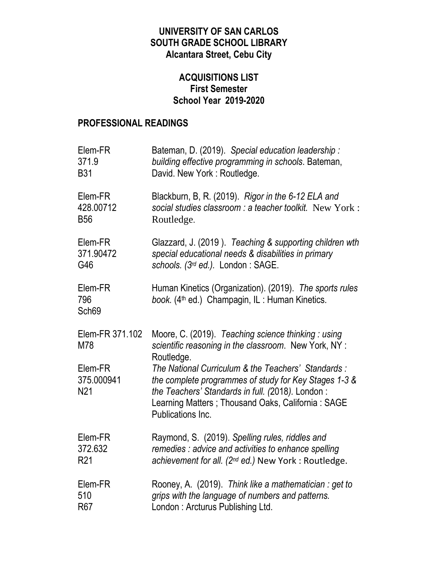### **UNIVERSITY OF SAN CARLOS SOUTH GRADE SCHOOL LIBRARY Alcantara Street, Cebu City**

### **ACQUISITIONS LIST First Semester School Year 2019-2020**

#### **PROFESSIONAL READINGS**

| Elem-FR                                  | Bateman, D. (2019). Special education leadership:                                                                                                                                                                                         |
|------------------------------------------|-------------------------------------------------------------------------------------------------------------------------------------------------------------------------------------------------------------------------------------------|
| 371.9                                    | building effective programming in schools. Bateman,                                                                                                                                                                                       |
| <b>B31</b>                               | David. New York: Routledge.                                                                                                                                                                                                               |
| Elem-FR                                  | Blackburn, B, R. (2019). Rigor in the 6-12 ELA and                                                                                                                                                                                        |
| 428.00712                                | social studies classroom : a teacher toolkit. New York :                                                                                                                                                                                  |
| <b>B56</b>                               | Routledge.                                                                                                                                                                                                                                |
| Elem-FR                                  | Glazzard, J. (2019). Teaching & supporting children wth                                                                                                                                                                                   |
| 371.90472                                | special educational needs & disabilities in primary                                                                                                                                                                                       |
| G46                                      | schools. (3rd ed.). London: SAGE.                                                                                                                                                                                                         |
| Elem-FR<br>796<br>Sch69                  | Human Kinetics (Organization). (2019). The sports rules<br>book. (4 <sup>th</sup> ed.) Champagin, IL: Human Kinetics.                                                                                                                     |
| Elem-FR 371.102<br>M78                   | Moore, C. (2019). Teaching science thinking: using<br>scientific reasoning in the classroom. New York, NY :<br>Routledge.                                                                                                                 |
| Elem-FR<br>375.000941<br>N <sub>21</sub> | The National Curriculum & the Teachers' Standards:<br>the complete programmes of study for Key Stages 1-3 &<br>the Teachers' Standards in full. (2018). London:<br>Learning Matters; Thousand Oaks, California: SAGE<br>Publications Inc. |
| Elem-FR                                  | Raymond, S. (2019). Spelling rules, riddles and                                                                                                                                                                                           |
| 372.632                                  | remedies : advice and activities to enhance spelling                                                                                                                                                                                      |
| R <sub>21</sub>                          | achievement for all. ( $2^{nd}$ ed.) New York : Routledge.                                                                                                                                                                                |
| Elem-FR                                  | Rooney, A. (2019). Think like a mathematician: get to                                                                                                                                                                                     |
| 510                                      | grips with the language of numbers and patterns.                                                                                                                                                                                          |
| R <sub>67</sub>                          | London: Arcturus Publishing Ltd.                                                                                                                                                                                                          |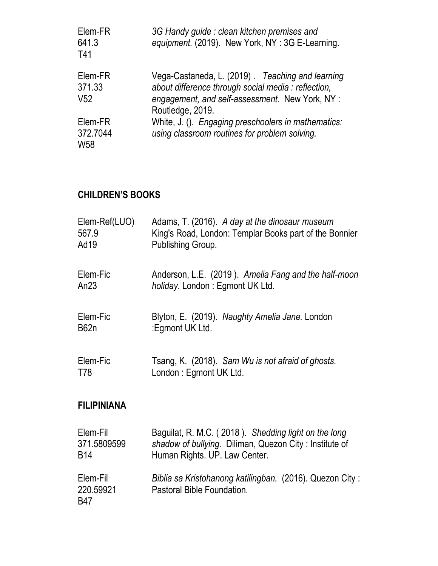| Elem-FR<br>641.3<br>T41              | 3G Handy guide: clean kitchen premises and<br>equipment. (2019). New York, NY: 3G E-Learning.                                                                                  |
|--------------------------------------|--------------------------------------------------------------------------------------------------------------------------------------------------------------------------------|
| Elem-FR<br>371.33<br>V <sub>52</sub> | Vega-Castaneda, L. (2019). Teaching and learning<br>about difference through social media : reflection,<br>engagement, and self-assessment. New York, NY :<br>Routledge, 2019. |
| Elem-FR<br>372.7044<br><b>W58</b>    | White, J. (). Engaging preschoolers in mathematics:<br>using classroom routines for problem solving.                                                                           |

# **CHILDREN'S BOOKS**

| Elem-Ref(LUO)                | Adams, T. (2016). A day at the dinosaur museum                                         |
|------------------------------|----------------------------------------------------------------------------------------|
| 567.9                        | King's Road, London: Templar Books part of the Bonnier                                 |
| Ad19                         | Publishing Group.                                                                      |
| Elem-Fic                     | Anderson, L.E. (2019). Amelia Fang and the half-moon                                   |
| An $23$                      | <i>holiday.</i> London: Egmont UK Ltd.                                                 |
| Elem-Fic                     | Blyton, E. (2019). Naughty Amelia Jane. London                                         |
| <b>B62n</b>                  | :Egmont UK Ltd.                                                                        |
| Elem-Fic                     | Tsang, K. (2018). Sam Wu is not afraid of ghosts.                                      |
| T78                          | London: Egmont UK Ltd.                                                                 |
| <b>FILIPINIANA</b>           |                                                                                        |
| Elem-Fil                     | Baguilat, R. M.C. (2018). Shedding light on the long                                   |
| 371.5809599                  | shadow of bullying. Diliman, Quezon City: Institute of                                 |
| <b>B14</b>                   | Human Rights. UP. Law Center.                                                          |
| Elem-Fil<br>220.59921<br>B47 | Biblia sa Kristohanong katilingban. (2016). Quezon City:<br>Pastoral Bible Foundation. |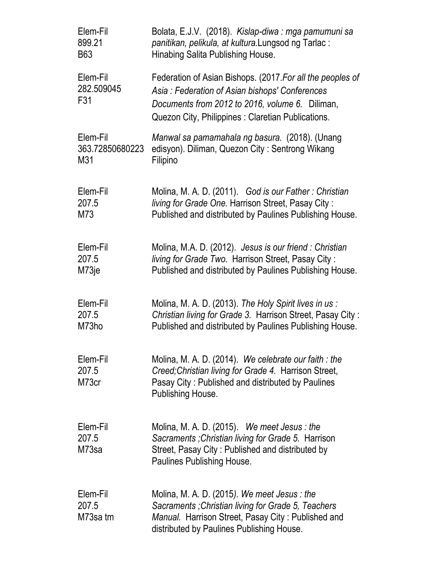| Elem-Fil                      | Bolata, E.J.V. (2018). Kislap-diwa: mga pamumuni sa                                                                                                                                                                  |
|-------------------------------|----------------------------------------------------------------------------------------------------------------------------------------------------------------------------------------------------------------------|
| 899.21                        | panitikan, pelikula, at kultura. Lungsod ng Tarlac:                                                                                                                                                                  |
| B63                           | Hinabing Salita Publishing House.                                                                                                                                                                                    |
| Elem-Fil<br>282.509045<br>F31 | Federation of Asian Bishops. (2017. For all the peoples of<br>Asia: Federation of Asian bishops' Conferences<br>Documents from 2012 to 2016, volume 6. Diliman,<br>Quezon City, Philippines: Claretian Publications. |
| Elem-Fil                      | Manwal sa pamamahala ng basura. (2018). (Unang                                                                                                                                                                       |
| 363.72850680223               | edisyon). Diliman, Quezon City: Sentrong Wikang                                                                                                                                                                      |
| M31                           | Filipino                                                                                                                                                                                                             |
| Elem-Fil                      | Molina, M. A. D. (2011). God is our Father: Christian                                                                                                                                                                |
| 207.5                         | living for Grade One. Harrison Street, Pasay City:                                                                                                                                                                   |
| M73                           | Published and distributed by Paulines Publishing House.                                                                                                                                                              |
| Elem-Fil                      | Molina, M.A. D. (2012). Jesus is our friend: Christian                                                                                                                                                               |
| 207.5                         | living for Grade Two. Harrison Street, Pasay City:                                                                                                                                                                   |
| M73je                         | Published and distributed by Paulines Publishing House.                                                                                                                                                              |
| Elem-Fil                      | Molina, M. A. D. (2013). The Holy Spirit lives in us:                                                                                                                                                                |
| 207.5                         | Christian living for Grade 3. Harrison Street, Pasay City:                                                                                                                                                           |
| M73ho                         | Published and distributed by Paulines Publishing House.                                                                                                                                                              |
| Elem-Fil<br>207.5<br>M73cr    | Molina, M. A. D. (2014). We celebrate our faith: the<br>Creed; Christian living for Grade 4. Harrison Street,<br>Pasay City: Published and distributed by Paulines<br>Publishing House.                              |
| Elem-Fil<br>207.5<br>M73sa    | Molina, M. A. D. $(2015)$ . We meet Jesus: the<br>Sacraments; Christian living for Grade 5. Harrison<br>Street, Pasay City: Published and distributed by<br>Paulines Publishing House.                               |
| Elem-Fil<br>207.5<br>M73sa tm | Molina, M. A. D. $(2015)$ . We meet Jesus: the<br>Sacraments; Christian living for Grade 5, Teachers<br>Manual. Harrison Street, Pasay City: Published and<br>distributed by Paulines Publishing House.              |